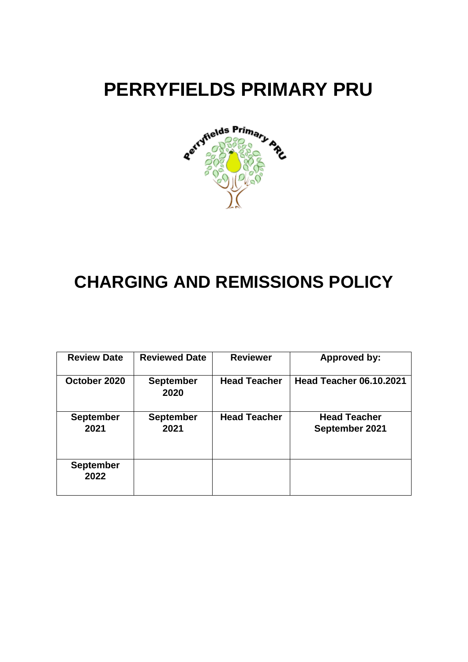# **PERRYFIELDS PRIMARY PRU**



# **CHARGING AND REMISSIONS POLICY**

| <b>Review Date</b>       | <b>Reviewed Date</b>     | <b>Reviewer</b>     | <b>Approved by:</b>                   |
|--------------------------|--------------------------|---------------------|---------------------------------------|
| October 2020             | <b>September</b><br>2020 | <b>Head Teacher</b> | <b>Head Teacher 06.10.2021</b>        |
| <b>September</b><br>2021 | <b>September</b><br>2021 | <b>Head Teacher</b> | <b>Head Teacher</b><br>September 2021 |
| <b>September</b><br>2022 |                          |                     |                                       |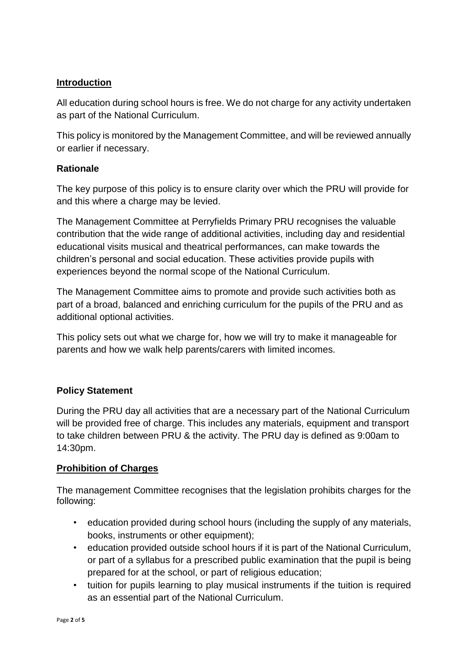## **Introduction**

All education during school hours is free. We do not charge for any activity undertaken as part of the National Curriculum.

This policy is monitored by the Management Committee, and will be reviewed annually or earlier if necessary.

#### **Rationale**

The key purpose of this policy is to ensure clarity over which the PRU will provide for and this where a charge may be levied.

The Management Committee at Perryfields Primary PRU recognises the valuable contribution that the wide range of additional activities, including day and residential educational visits musical and theatrical performances, can make towards the children's personal and social education. These activities provide pupils with experiences beyond the normal scope of the National Curriculum.

The Management Committee aims to promote and provide such activities both as part of a broad, balanced and enriching curriculum for the pupils of the PRU and as additional optional activities.

This policy sets out what we charge for, how we will try to make it manageable for parents and how we walk help parents/carers with limited incomes.

#### **Policy Statement**

During the PRU day all activities that are a necessary part of the National Curriculum will be provided free of charge. This includes any materials, equipment and transport to take children between PRU & the activity. The PRU day is defined as 9:00am to 14:30pm.

#### **Prohibition of Charges**

The management Committee recognises that the legislation prohibits charges for the following:

- education provided during school hours (including the supply of any materials, books, instruments or other equipment);
- education provided outside school hours if it is part of the National Curriculum, or part of a syllabus for a prescribed public examination that the pupil is being prepared for at the school, or part of religious education;
- tuition for pupils learning to play musical instruments if the tuition is required as an essential part of the National Curriculum.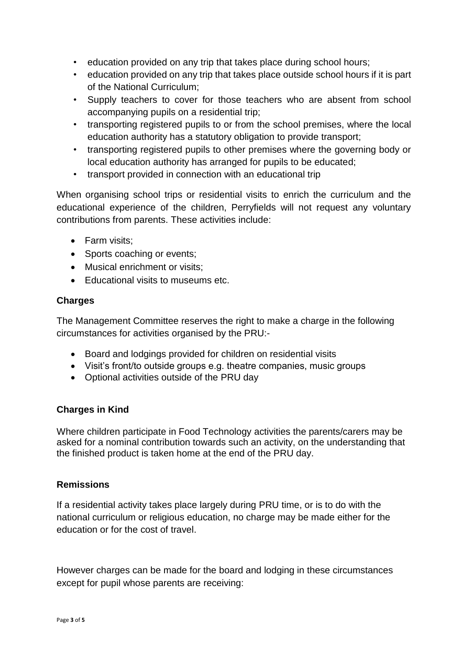- education provided on any trip that takes place during school hours;
- education provided on any trip that takes place outside school hours if it is part of the National Curriculum;
- Supply teachers to cover for those teachers who are absent from school accompanying pupils on a residential trip;
- transporting registered pupils to or from the school premises, where the local education authority has a statutory obligation to provide transport;
- transporting registered pupils to other premises where the governing body or local education authority has arranged for pupils to be educated;
- transport provided in connection with an educational trip

When organising school trips or residential visits to enrich the curriculum and the educational experience of the children, Perryfields will not request any voluntary contributions from parents. These activities include:

- Farm visits:
- Sports coaching or events;
- Musical enrichment or visits:
- Educational visits to museums etc.

#### **Charges**

The Management Committee reserves the right to make a charge in the following circumstances for activities organised by the PRU:-

- Board and lodgings provided for children on residential visits
- Visit's front/to outside groups e.g. theatre companies, music groups
- Optional activities outside of the PRU day

#### **Charges in Kind**

Where children participate in Food Technology activities the parents/carers may be asked for a nominal contribution towards such an activity, on the understanding that the finished product is taken home at the end of the PRU day.

#### **Remissions**

If a residential activity takes place largely during PRU time, or is to do with the national curriculum or religious education, no charge may be made either for the education or for the cost of travel.

However charges can be made for the board and lodging in these circumstances except for pupil whose parents are receiving: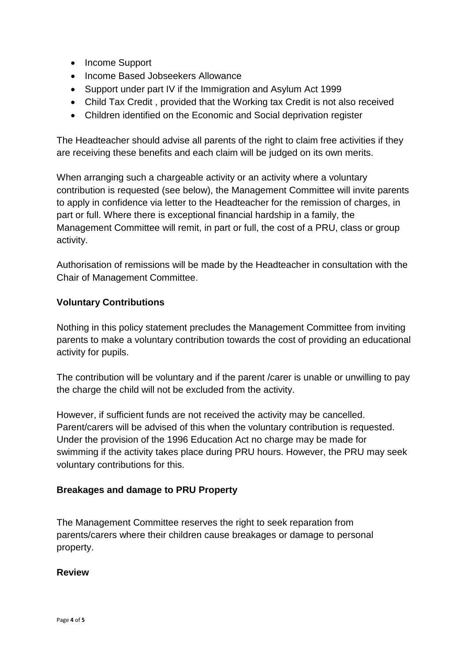- Income Support
- Income Based Jobseekers Allowance
- Support under part IV if the Immigration and Asylum Act 1999
- Child Tax Credit , provided that the Working tax Credit is not also received
- Children identified on the Economic and Social deprivation register

The Headteacher should advise all parents of the right to claim free activities if they are receiving these benefits and each claim will be judged on its own merits.

When arranging such a chargeable activity or an activity where a voluntary contribution is requested (see below), the Management Committee will invite parents to apply in confidence via letter to the Headteacher for the remission of charges, in part or full. Where there is exceptional financial hardship in a family, the Management Committee will remit, in part or full, the cost of a PRU, class or group activity.

Authorisation of remissions will be made by the Headteacher in consultation with the Chair of Management Committee.

### **Voluntary Contributions**

Nothing in this policy statement precludes the Management Committee from inviting parents to make a voluntary contribution towards the cost of providing an educational activity for pupils.

The contribution will be voluntary and if the parent /carer is unable or unwilling to pay the charge the child will not be excluded from the activity.

However, if sufficient funds are not received the activity may be cancelled. Parent/carers will be advised of this when the voluntary contribution is requested. Under the provision of the 1996 Education Act no charge may be made for swimming if the activity takes place during PRU hours. However, the PRU may seek voluntary contributions for this.

#### **Breakages and damage to PRU Property**

The Management Committee reserves the right to seek reparation from parents/carers where their children cause breakages or damage to personal property.

#### **Review**